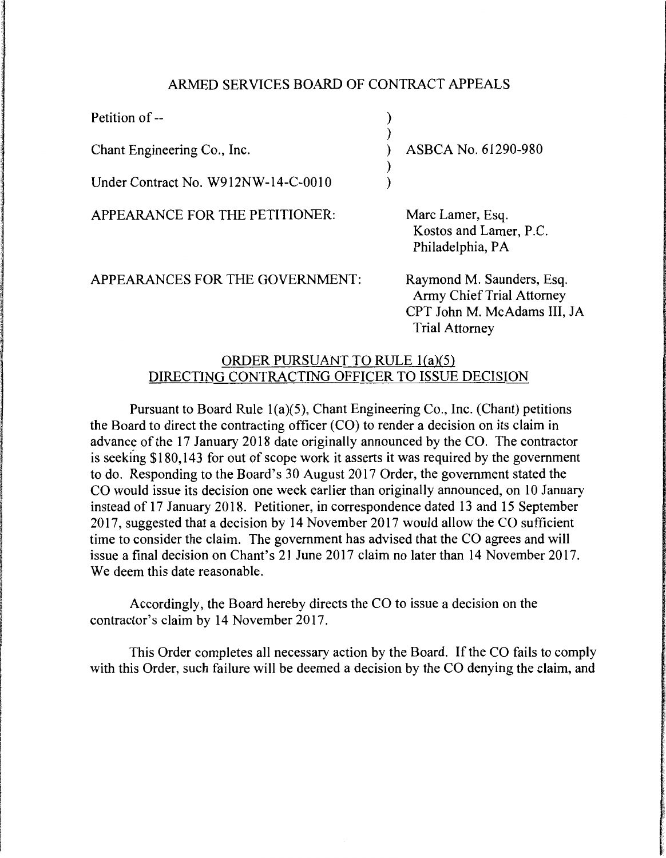## ARMED SERVICES BOARD OF CONTRACT APPEALS

)

)

Petition of --

Chant Engineering Co., Inc.

Under Contract No. W912NW-14-C-0010

APPEARANCE FOR THE PETITIONER:

APPEARANCES FOR THE GOVERNMENT:

) ) ASBCA No. 61290-980 )

> Marc Lamer, Esq. Kostos and Lamer, P.C. Philadelphia, PA

Raymond M. Saunders, Esq. Army Chief Trial Attorney CPT John M. McAdams III, JA Trial Attorney

## ORDER PURSUANT TO RULE l(a)(5) DIRECTING CONTRACTING OFFICER TO ISSUE DECISION

Pursuant to Board Rule l(a)(5), Chant Engineering Co., Inc. (Chant) petitions the Board to direct the contracting officer (CO) to render a decision on its claim in advance of the 17 January 2018 date originally announced by the CO. The contractor is seeking \$180,143 for out of scope work it asserts it was required by the government to do. Responding to the Board's 30 August 2017 Order, the government stated the CO would issue its decision one week earlier than originally announced, on 10 January instead of 17 January 2018. Petitioner, in correspondence dated 13 and 15 September 2017, suggested that a decision by 14 November 2017 would allow the CO sufficient time to consider the claim. The government has advised that the CO agrees and will issue a final decision on Chant's 21 June 2017 claim no later than 14 November 2017. We deem this date reasonable.

Accordingly, the Board hereby directs the CO to issue a decision on the contractor's claim by 14 November 2017.

This Order completes all necessary action by the Board. If the CO fails to comply with this Order, such failure will be deemed a decision by the CO denying the claim, and